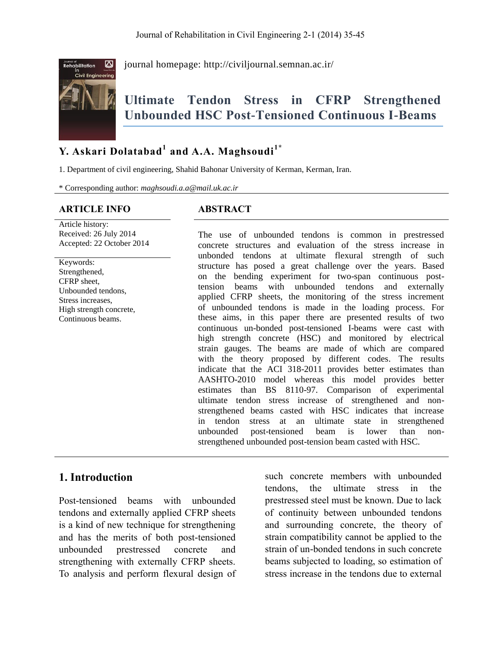

journal homepage:<http://civiljournal.semnan.ac.ir/>

# **Ultimate Tendon Stress in CFRP Strengthened Unbounded HSC Post-Tensioned Continuous I-Beams**

## **Y. Askari Dolatabad<sup>1</sup> and A.A. Maghsoudi1\***

1. Department of civil engineering, Shahid Bahonar University of Kerman, Kerman, Iran.

\* Corresponding author: *maghsoudi.a.a@mail.uk.ac.ir*

#### **ARTICLE INFO ABSTRACT**

Article history: Received: 26 July 2014 Accepted: 22 October 2014

Keywords: Strengthened, CFRP sheet, Unbounded tendons, Stress increases, High strength concrete, Continuous beams.

The use of unbounded tendons is common in prestressed concrete structures and evaluation of the stress increase in unbonded tendons at ultimate flexural strength of such structure has posed a great challenge over the years. Based on the bending experiment for two-span continuous posttension beams with unbounded tendons and externally applied CFRP sheets, the monitoring of the stress increment of unbounded tendons is made in the loading process. For these aims, in this paper there are presented results of two continuous un-bonded post-tensioned I-beams were cast with high strength concrete (HSC) and monitored by electrical strain gauges. The beams are made of which are compared with the theory proposed by different codes. The results indicate that the ACI 318-2011 provides better estimates than AASHTO-2010 model whereas this model provides better estimates than BS 8110-97. Comparison of experimental ultimate tendon stress increase of strengthened and nonstrengthened beams casted with HSC indicates that increase in tendon stress at an ultimate state in strengthened unbounded post-tensioned beam is lower than nonstrengthened unbounded post-tension beam casted with HSC.

## **1. Introduction**

Post-tensioned beams with unbounded tendons and externally applied CFRP sheets is a kind of new technique for strengthening and has the merits of both post-tensioned unbounded prestressed concrete and strengthening with externally CFRP sheets. To analysis and perform flexural design of such concrete members with unbounded tendons, the ultimate stress in the prestressed steel must be known. Due to lack of continuity between unbounded tendons and surrounding concrete, the theory of strain compatibility cannot be applied to the strain of un-bonded tendons in such concrete beams subjected to loading, so estimation of stress increase in the tendons due to external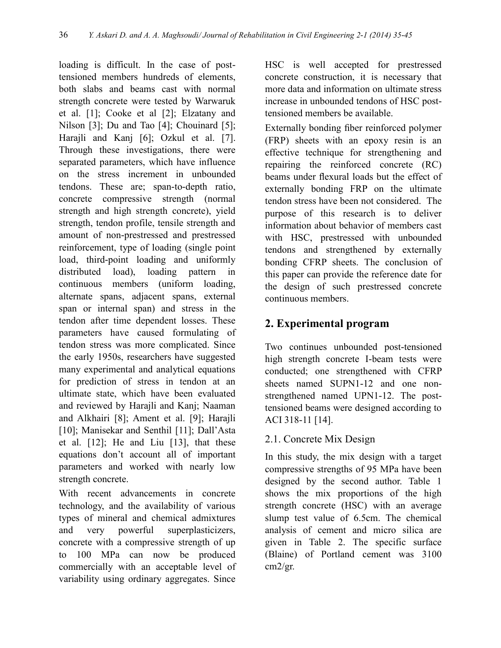loading is difficult. In the case of posttensioned members hundreds of elements, both slabs and beams cast with normal strength concrete were tested by Warwaruk et al. [1]; Cooke et al [2]; Elzatany and Nilson [3]; Du and Tao [4]; Chouinard [5]; Harajli and Kanj [6]; Ozkul et al. [7]. Through these investigations, there were separated parameters, which have influence on the stress increment in unbounded tendons. These are; span-to-depth ratio, concrete compressive strength (normal strength and high strength concrete), yield strength, tendon profile, tensile strength and amount of non-prestressed and prestressed reinforcement, type of loading (single point load, third-point loading and uniformly distributed load), loading pattern in continuous members (uniform loading, alternate spans, adjacent spans, external span or internal span) and stress in the tendon after time dependent losses. These parameters have caused formulating of tendon stress was more complicated. Since the early 1950s, researchers have suggested many experimental and analytical equations for prediction of stress in tendon at an ultimate state, which have been evaluated and reviewed by Harajli and Kanj; Naaman and Alkhairi [8]; Ament et al. [9]; Harajli [10]; Manisekar and Senthil [11]; Dall'Asta et al. [12]; He and Liu [13], that these equations don't account all of important parameters and worked with nearly low strength concrete.

With recent advancements in concrete technology, and the availability of various types of mineral and chemical admixtures and very powerful superplasticizers, concrete with a compressive strength of up to 100 MPa can now be produced commercially with an acceptable level of variability using ordinary aggregates. Since

HSC is well accepted for prestressed concrete construction, it is necessary that more data and information on ultimate stress increase in unbounded tendons of HSC posttensioned members be available.

Externally bonding fiber reinforced polymer (FRP) sheets with an epoxy resin is an effective technique for strengthening and repairing the reinforced concrete (RC) beams under flexural loads but the effect of externally bonding FRP on the ultimate tendon stress have been not considered. The purpose of this research is to deliver information about behavior of members cast with HSC, prestressed with unbounded tendons and strengthened by externally bonding CFRP sheets. The conclusion of this paper can provide the reference date for the design of such prestressed concrete continuous members.

## **2. Experimental program**

Two continues unbounded post-tensioned high strength concrete I-beam tests were conducted; one strengthened with CFRP sheets named SUPN1-12 and one nonstrengthened named UPN1-12. The posttensioned beams were designed according to ACI 318-11 [14].

## 2.1. Concrete Mix Design

In this study, the mix design with a target compressive strengths of 95 MPa have been designed by the second author. Table 1 shows the mix proportions of the high strength concrete (HSC) with an average slump test value of 6.5cm. The chemical analysis of cement and micro silica are given in Table 2. The specific surface (Blaine) of Portland cement was 3100 cm2/gr.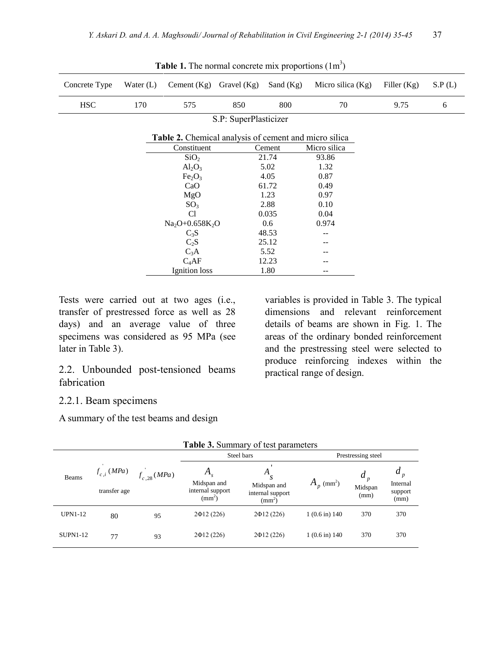| Concrete Type | Water $(L)$ | Cement $(Kg)$                                         | Gravel $(Kg)$ | Sand $(Kg)$ | Micro silica $(Kg)$ | Filler $(Kg)$ | S.P(L) |
|---------------|-------------|-------------------------------------------------------|---------------|-------------|---------------------|---------------|--------|
| <b>HSC</b>    | 170         | 575                                                   | 850           | 800         | 70                  | 9.75          | 6      |
|               |             |                                                       |               |             |                     |               |        |
|               |             | Table 2. Chemical analysis of cement and micro silica |               |             |                     |               |        |
|               |             | Constituent                                           |               | Cement      | Micro silica        |               |        |
|               |             | SiO <sub>2</sub>                                      |               | 21.74       | 93.86               |               |        |
|               |             | $Al_2O_3$                                             |               | 5.02        | 1.32                |               |        |
|               |             | Fe <sub>2</sub> O <sub>3</sub>                        |               | 4.05        | 0.87                |               |        |
|               |             | CaO                                                   |               | 61.72       | 0.49                |               |        |
|               |             | MgO                                                   |               | 1.23        | 0.97                |               |        |
|               |             | SO <sub>3</sub>                                       |               | 2.88        | 0.10                |               |        |
|               |             | C <sub>1</sub>                                        |               | 0.035       | 0.04                |               |        |
|               |             | $Na2O+0.658K2O$                                       |               | 0.6         | 0.974               |               |        |
|               |             | $C_3S$                                                |               | 48.53       | --                  |               |        |
|               |             | $C_2S$                                                |               | 25.12       | --                  |               |        |
|               |             | $C_3A$                                                |               | 5.52        | --                  |               |        |
|               |             | $C_4AF$                                               |               | 12.23       |                     |               |        |
|               |             | Ignition loss                                         |               | 1.80        | --                  |               |        |

**Table 1.** The normal concrete mix proportions  $(1m^3)$ 

Tests were carried out at two ages (i.e., transfer of prestressed force as well as 28 days) and an average value of three specimens was considered as 95 MPa (see later in Table 3).

2.2. Unbounded post-tensioned beams fabrication

variables is provided in Table 3. The typical dimensions and relevant reinforcement details of beams are shown in Fig. 1. The areas of the ordinary bonded reinforcement and the prestressing steel were selected to produce reinforcing indexes within the practical range of design.

#### 2.2.1. Beam specimens

A summary of the test beams and design

| Table 3. Summary of test parameters |                                 |                 |                                                            |                                                              |                          |                      |                                      |
|-------------------------------------|---------------------------------|-----------------|------------------------------------------------------------|--------------------------------------------------------------|--------------------------|----------------------|--------------------------------------|
|                                     |                                 | $f_{c,28}(MPa)$ |                                                            | Steel bars                                                   | Prestressing steel       |                      |                                      |
| <b>Beams</b>                        | $f_{c,i}$ (MPa)<br>transfer age |                 | $A_{s}$<br>Midspan and<br>internal support<br>$\rm (mm^2)$ | А<br>S<br>Midspan and<br>internal support<br>$\text{(mm}^2)$ | $A_p$ (mm <sup>2</sup> ) | a<br>Midspan<br>(mm) | $a_p$<br>Internal<br>support<br>(mm) |
| <b>UPN1-12</b>                      | 80                              | 95              | $2\Phi$ 12 (226)                                           | $2\Phi12(226)$                                               | $1(0.6 \text{ in}) 140$  | 370                  | 370                                  |
| <b>SUPN1-12</b>                     | 77                              | 93              | $2\Phi$ 12 (226)                                           | $2\Phi12(226)$                                               | $1(0.6 \text{ in}) 140$  | 370                  | 370                                  |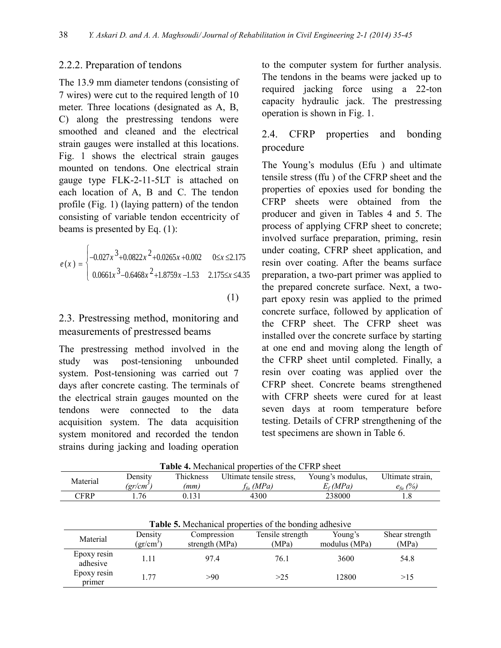#### 2.2.2. Preparation of tendons

The 13.9 mm diameter tendons (consisting of 7 wires) were cut to the required length of 10 meter. Three locations (designated as A, B, C) along the prestressing tendons were smoothed and cleaned and the electrical strain gauges were installed at this locations. Fig. 1 shows the electrical strain gauges mounted on tendons. One electrical strain gauge type FLK-2-11-5LT is attached on each location of A, B and C. The tendon profile (Fig. 1) (laying pattern) of the tendon consisting of variable tendon eccentricity of beams is presented by Eq. (1):

$$
e(x) = \begin{cases} -0.027x^3 + 0.0822x^2 + 0.0265x + 0.002 & 0 \le x \le 2.175 \\ 0.0661x^3 - 0.6468x^2 + 1.8759x - 1.53 & 2.175 \le x \le 4.35 \end{cases}
$$

(1)

## 2.3. Prestressing method, monitoring and measurements of prestressed beams

The prestressing method involved in the study was post-tensioning unbounded system. Post-tensioning was carried out 7 days after concrete casting. The terminals of the electrical strain gauges mounted on the tendons were connected to the data acquisition system. The data acquisition system monitored and recorded the tendon strains during jacking and loading operation

to the computer system for further analysis. The tendons in the beams were jacked up to required jacking force using a 22-ton capacity hydraulic jack. The prestressing operation is shown in Fig. 1.

## 2.4. CFRP properties and bonding procedure

The Young's modulus (Efu ) and ultimate tensile stress (ffu ) of the CFRP sheet and the properties of epoxies used for bonding the CFRP sheets were obtained from the producer and given in Tables 4 and 5. The process of applying CFRP sheet to concrete; involved surface preparation, priming, resin under coating, CFRP sheet application, and resin over coating. After the beams surface preparation, a two-part primer was applied to the prepared concrete surface. Next, a twopart epoxy resin was applied to the primed concrete surface, followed by application of the CFRP sheet. The CFRP sheet was installed over the concrete surface by starting at one end and moving along the length of the CFRP sheet until completed. Finally, a resin over coating was applied over the CFRP sheet. Concrete beams strengthened with CFRP sheets were cured for at least seven days at room temperature before testing. Details of CFRP strengthening of the test specimens are shown in Table 6.

| <b>Table 4.</b> Mechanical properties of the CFRP sheet |         |           |                          |                  |                    |  |  |
|---------------------------------------------------------|---------|-----------|--------------------------|------------------|--------------------|--|--|
| Material                                                | Densitv | Thickness | Ultimate tensile stress. | Young's modulus. | Ultimate strain.   |  |  |
|                                                         | (gr/cm' | (mm)      | $f_{\theta}$ (MPa)       | $E_f(MPa)$       | $e_{\rm f\nu}$ (%) |  |  |
| $\mathbb{C} \mathsf{FRP}$                               | 76      | 0.131     | 4300                     | 238000           |                    |  |  |

**Table 4.** Mechanical properties of the CFRP sheet

| <b>Table 5.</b> Mechanical properties of the bonding adhesive |                      |                               |                           |                          |                         |  |  |
|---------------------------------------------------------------|----------------------|-------------------------------|---------------------------|--------------------------|-------------------------|--|--|
| Material                                                      | Density<br>$gr/cm^3$ | Compression<br>strength (MPa) | Tensile strength<br>(MPa) | Young's<br>modulus (MPa) | Shear strength<br>(MPa) |  |  |
| Epoxy resin<br>adhesive                                       |                      | 97.4                          | 76.1                      | 3600                     | 54.8                    |  |  |
| Epoxy resin<br>primer                                         | 177                  | >90                           | >25                       | 12800                    | >15                     |  |  |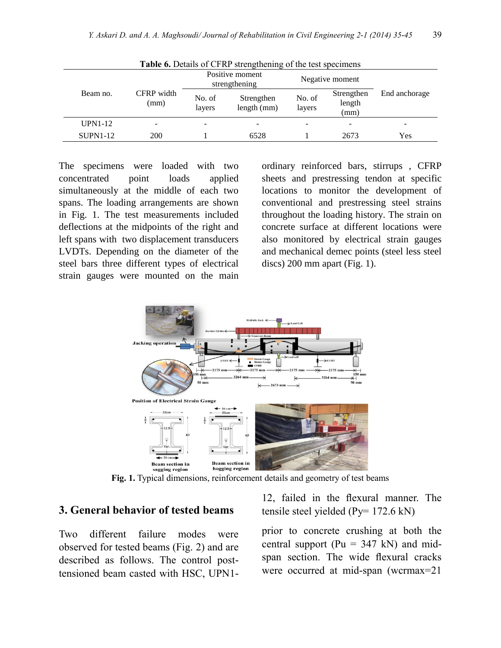| <b>rapic v.</b> Details of Crist strengthening of the test specificits |                    |                                  |                           |                  |                              |               |  |
|------------------------------------------------------------------------|--------------------|----------------------------------|---------------------------|------------------|------------------------------|---------------|--|
|                                                                        |                    | Positive moment<br>strengthening |                           | Negative moment  |                              |               |  |
| Beam no.                                                               | CFRP width<br>(mm) | No. of<br>layers                 | Strengthen<br>length (mm) | No. of<br>layers | Strengthen<br>length<br>(mm) | End anchorage |  |
| <b>UPN1-12</b>                                                         |                    | -                                |                           |                  |                              |               |  |
| $SUPN1-12$                                                             | 200                |                                  | 6528                      |                  | 2673                         | Yes           |  |

**Table 6.** Details of CFRP strengthening of the test specimens

The specimens were loaded with two concentrated point loads applied simultaneously at the middle of each two spans. The loading arrangements are shown in Fig. 1. The test measurements included deflections at the midpoints of the right and left spans with two displacement transducers LVDTs. Depending on the diameter of the steel bars three different types of electrical strain gauges were mounted on the main

ordinary reinforced bars, stirrups , CFRP sheets and prestressing tendon at specific locations to monitor the development of conventional and prestressing steel strains throughout the loading history. The strain on concrete surface at different locations were also monitored by electrical strain gauges and mechanical demec points (steel less steel discs) 200 mm apart (Fig. 1).



**Fig. 1.** Typical dimensions, reinforcement details and geometry of test beams

#### **3. General behavior of tested beams**

Two different failure modes were observed for tested beams (Fig. 2) and are described as follows. The control posttensioned beam casted with HSC, UPN112, failed in the flexural manner. The tensile steel yielded (Py= 172.6 kN)

prior to concrete crushing at both the central support ( $Pu = 347$  kN) and midspan section. The wide flexural cracks were occurred at mid-span (wcrmax=21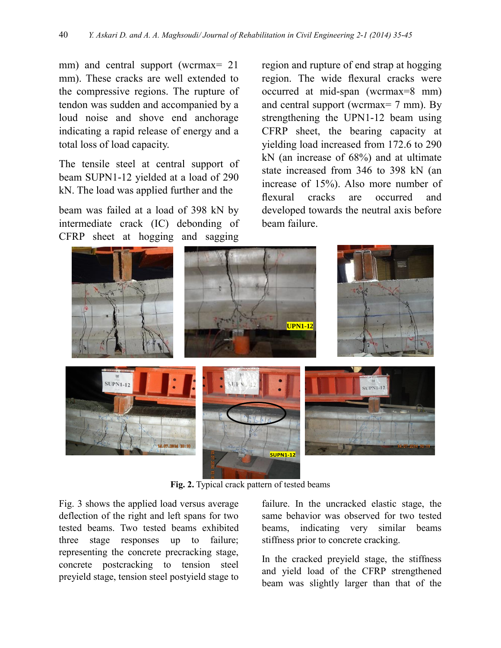mm) and central support (wcrmax= 21 mm). These cracks are well extended to the compressive regions. The rupture of tendon was sudden and accompanied by a loud noise and shove end anchorage indicating a rapid release of energy and a total loss of load capacity.

The tensile steel at central support of beam SUPN1-12 yielded at a load of 290 kN. The load was applied further and the

beam was failed at a load of 398 kN by intermediate crack (IC) debonding of CFRP sheet at hogging and sagging

region and rupture of end strap at hogging region. The wide flexural cracks were occurred at mid-span (wcrmax=8 mm) and central support (wcrmax= 7 mm). By strengthening the UPN1-12 beam using CFRP sheet, the bearing capacity at yielding load increased from 172.6 to 290 kN (an increase of 68%) and at ultimate state increased from 346 to 398 kN (an increase of 15%). Also more number of flexural cracks are occurred and developed towards the neutral axis before beam failure.



**Fig. 2.** Typical crack pattern of tested beams

Fig. 3 shows the applied load versus average deflection of the right and left spans for two tested beams. Two tested beams exhibited three stage responses up to failure; representing the concrete precracking stage, concrete postcracking to tension steel preyield stage, tension steel postyield stage to

failure. In the uncracked elastic stage, the same behavior was observed for two tested beams, indicating very similar beams stiffness prior to concrete cracking.

In the cracked preyield stage, the stiffness and yield load of the CFRP strengthened beam was slightly larger than that of the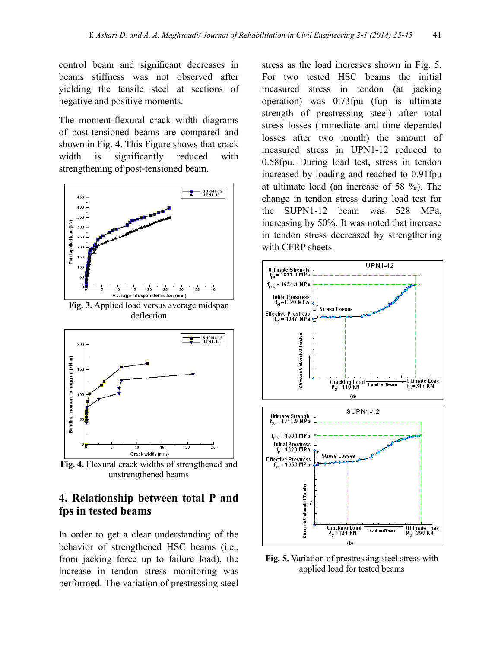control beam and significant decreases in beams stiffness was not observed after yielding the tensile steel at sections of negative and positive moments.

The moment-flexural crack width diagrams of post-tensioned beams are compared and shown in Fig. 4. This Figure shows that crack width is significantly reduced with strengthening of post-tensioned beam.

![](_page_6_Figure_3.jpeg)

**Fig. 3.** Applied load versus average midspan deflection

![](_page_6_Figure_5.jpeg)

**Fig. 4.** Flexural crack widths of strengthened and unstrengthened beams

### **4. Relationship between total P and fps in tested beams**

In order to get a clear understanding of the behavior of strengthened HSC beams (i.e., from jacking force up to failure load), the increase in tendon stress monitoring was performed. The variation of prestressing steel

stress as the load increases shown in Fig. 5. For two tested HSC beams the initial measured stress in tendon (at jacking operation) was 0.73fpu (fup is ultimate strength of prestressing steel) after total stress losses (immediate and time depended losses after two month) the amount of measured stress in UPN1-12 reduced to 0.58fpu. During load test, stress in tendon increased by loading and reached to 0.91fpu at ultimate load (an increase of 58 %). The change in tendon stress during load test for the SUPN1-12 beam was 528 MPa, increasing by 50%. It was noted that increase in tendon stress decreased by strengthening with CFRP sheets.

![](_page_6_Figure_10.jpeg)

**Fig. 5.** Variation of prestressing steel stress with applied load for tested beams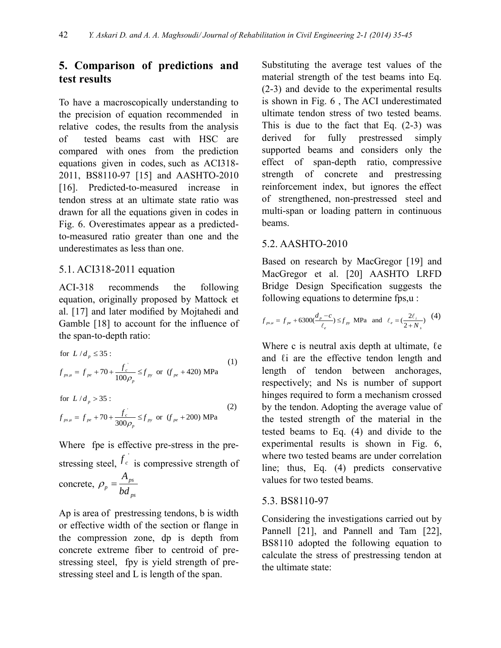## **5. Comparison of predictions and test results**

To have a macroscopically understanding to the precision of equation recommended in relative codes, the results from the analysis of tested beams cast with HSC are compared with ones from the prediction equations given in codes, such as ACI318- 2011, BS8110-97 [15] and AASHTO-2010 [16]. Predicted-to-measured increase in tendon stress at an ultimate state ratio was drawn for all the equations given in codes in Fig. 6. Overestimates appear as a predictedto-measured ratio greater than one and the underestimates as less than one.

#### 5.1. ACI318-2011 equation

ACI-318 recommends the following equation, originally proposed by Mattock et al. [17] and later modified by Mojtahedi and Gamble [18] to account for the influence of

the span-to-depth ratio:  
\nfor 
$$
L/d_p \le 35
$$
:  
\n
$$
f_{ps\mu} = f_{pe} + 70 + \frac{f_c}{100\rho_p} \le f_{py} \text{ or } (f_{pe} + 420) \text{ MPa}
$$
\n(1)

for 
$$
L/d_p > 35
$$
:  
\n
$$
f_{psu} = f_{pe} + 70 + \frac{f_c}{300\rho_p} \le f_{py} \text{ or } (f_{pe} + 200) \text{ MPa}
$$
\n(2)

Where fpe is effective pre-stress in the prestressing steel,  $f_c$  is compressive strength of concrete,  $\rho_n = \frac{P_{ps}}{1.1}$ *p ps A bd*

Ap is area of prestressing tendons, b is width or effective width of the section or flange in the compression zone, dp is depth from concrete extreme fiber to centroid of prestressing steel, fpy is yield strength of prestressing steel and L is length of the span.

Substituting the average test values of the material strength of the test beams into Eq. (2-3) and devide to the experimental results is shown in Fig. 6 , The ACI underestimated ultimate tendon stress of two tested beams. This is due to the fact that Eq.  $(2-3)$  was derived for fully prestressed simply supported beams and considers only the effect of span-depth ratio, compressive strength of concrete and prestressing reinforcement index, but ignores the effect of strengthened, non-prestressed steel and multi-span or loading pattern in continuous beams.

### 5.2. AASHTO-2010

Based on research by MacGregor [19] and MacGregor et al. [20] AASHTO LRFD Bridge Design Specification suggests the

following equations to determine fps,u :  
\n
$$
f_{ps\mu} = f_{pe} + 6300(\frac{d_p - c}{\ell_e}) \le f_{py}
$$
 MPa and  $\ell_e = (\frac{2\ell_i}{2 + N_s})$  (4)

Where c is neutral axis depth at ultimate,  $\ell$ e and  $\ell$  i are the effective tendon length and length of tendon between anchorages, respectively; and Ns is number of support hinges required to form a mechanism crossed by the tendon. Adopting the average value of the tested strength of the material in the tested beams to Eq. (4) and divide to the experimental results is shown in Fig. 6, where two tested beams are under correlation line; thus, Eq. (4) predicts conservative values for two tested beams.

#### 5.3. BS8110-97

Considering the investigations carried out by Pannell [21], and Pannell and Tam [22], BS8110 adopted the following equation to calculate the stress of prestressing tendon at the ultimate state: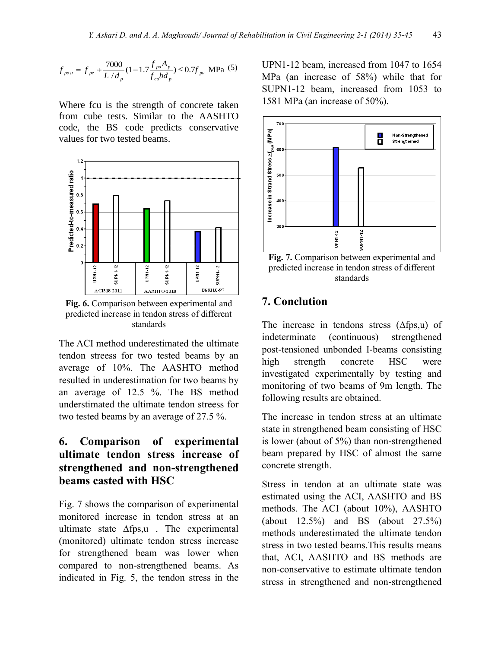$$
f_{ps\mu} = f_{pe} + \frac{7000}{L/d_p} (1 - 1.7 \frac{f_{pu} A_p}{f_{cu} bd_p}) \le 0.7 f_{pu} \text{ MPa} (5)
$$

Where fcu is the strength of concrete taken from cube tests. Similar to the AASHTO code, the BS code predicts conservative values for two tested beams.

![](_page_8_Figure_3.jpeg)

**Fig. 6.** Comparison between experimental and predicted increase in tendon stress of different standards

The ACI method underestimated the ultimate tendon streess for two tested beams by an average of 10%. The AASHTO method resulted in underestimation for two beams by an average of 12.5 %. The BS method understimated the ultimate tendon streess for two tested beams by an average of 27.5 %.

## **6. Comparison of experimental ultimate tendon stress increase of strengthened and non-strengthened beams casted with HSC**

Fig. 7 shows the comparison of experimental monitored increase in tendon stress at an ultimate state ∆fps,u . The experimental (monitored) ultimate tendon stress increase for strengthened beam was lower when compared to non-strengthened beams. As indicated in Fig. 5, the tendon stress in the UPN1-12 beam, increased from 1047 to 1654 MPa (an increase of 58%) while that for SUPN1-12 beam, increased from 1053 to 1581 MPa (an increase of 50%).

![](_page_8_Figure_9.jpeg)

**Fig. 7.** Comparison between experimental and predicted increase in tendon stress of different standards

## **7. Conclution**

The increase in tendons stress (∆fps,u) of indeterminate (continuous) strengthened post-tensioned unbonded I-beams consisting high strength concrete HSC were investigated experimentally by testing and monitoring of two beams of 9m length. The following results are obtained.

The increase in tendon stress at an ultimate state in strengthened beam consisting of HSC is lower (about of 5%) than non-strengthened beam prepared by HSC of almost the same concrete strength.

Stress in tendon at an ultimate state was estimated using the ACI, AASHTO and BS methods. The ACI (about 10%), AASHTO (about 12.5%) and BS (about 27.5%) methods underestimated the ultimate tendon stress in two tested beams.This results means that, ACI, AASHTO and BS methods are non-conservative to estimate ultimate tendon stress in strengthened and non-strengthened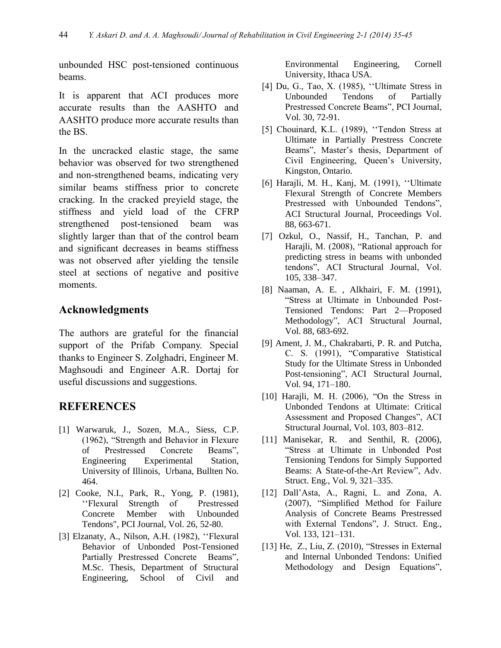unbounded HSC post-tensioned continuous beams.

It is apparent that ACI produces more accurate results than the AASHTO and AASHTO produce more accurate results than the BS.

In the uncracked elastic stage, the same behavior was observed for two strengthened and non-strengthened beams, indicating very similar beams stiffness prior to concrete cracking. In the cracked preyield stage, the stiffness and yield load of the CFRP strengthened post-tensioned beam was slightly larger than that of the control beam and significant decreases in beams stiffness was not observed after yielding the tensile steel at sections of negative and positive moments.

## **Acknowledgments**

The authors are grateful for the financial support of the Prifab Company. Special thanks to Engineer S. Zolghadri, Engineer M. Maghsoudi and Engineer A.R. Dortaj for useful discussions and suggestions.

## **REFERENCES**

- [1] Warwaruk, J., Sozen, M.A., Siess, C.P. (1962), "Strength and Behavior in Flexure of Prestressed Concrete Beams", Engineering Experimental Station, University of Illinois, Urbana, Bullten No. 464.
- [2] Cooke, N.I., Park, R., Yong, P. (1981), ''Flexural Strength of Prestressed Concrete Member with Unbounded Tendons", PCI Journal, Vol. 26, 52-80.
- [3] Elzanaty, A., Nilson, A.H. (1982), ''Flexural Behavior of Unbonded Post-Tensioned Partially Prestressed Concrete Beams", M.Sc. Thesis, Department of Structural Engineering, School of Civil and

Environmental Engineering, Cornell University, Ithaca USA.

- [4] Du, G., Tao, X. (1985), ''Ultimate Stress in Unbounded Tendons of Partially Prestressed Concrete Beams", PCI Journal, Vol. 30, 72-91.
- [5] Chouinard, K.L. (1989), "Tendon Stress at Ultimate in Partially Prestress Concrete Beams", Master's thesis, Department of Civil Engineering, Queen's University, Kingston, Ontario.
- [6] Harajli, M. H., Kanj, M. (1991), ''Ultimate Flexural Strength of Concrete Members Prestressed with Unbounded Tendons", ACI Structural Journal, Proceedings Vol. 88, 663-671.
- [7] Ozkul, O., Nassif, H., Tanchan, P. and Harajli, M. (2008), "Rational approach for predicting stress in beams with unbonded tendons", ACI Structural Journal, Vol. 105, 338–347.
- [8] Naaman, A. E. , Alkhairi, F. M. (1991), "Stress at Ultimate in Unbounded Post-Tensioned Tendons: Part 2—Proposed Methodology", ACI Structural Journal, Vol. 88, 683-692.
- [9] Ament, J. M., Chakrabarti, P. R. and Putcha, C. S. (1991), "Comparative Statistical Study for the Ultimate Stress in Unbonded Post-tensioning", ACI Structural Journal, Vol. 94, 171–180.
- [10] Harajli, M. H. (2006), "On the Stress in Unbonded Tendons at Ultimate: Critical Assessment and Proposed Changes", ACI Structural Journal, Vol. 103, 803–812.
- [11] Manisekar, R. and Senthil, R. (2006), "Stress at Ultimate in Unbonded Post Tensioning Tendons for Simply Supported Beams: A State-of-the-Art Review", Adv. Struct. Eng., Vol. 9, 321–335.
- [12] Dall'Asta, A., Ragni, L. and Zona, A. (2007), "Simplified Method for Failure Analysis of Concrete Beams Prestressed with External Tendons", J. Struct. Eng., Vol. 133, 121–131.
- [13] He, Z., Liu, Z. (2010), "Stresses in External and Internal Unbonded Tendons: Unified Methodology and Design Equations",